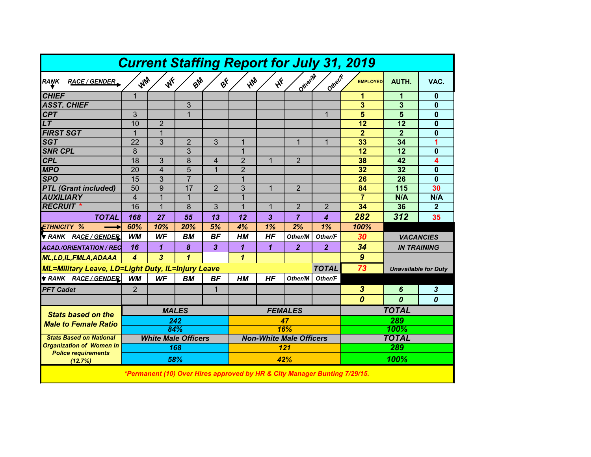| <b>Current Staffing Report for July 31, 2019</b>                          |                                   |                |                |                |                                |              |                |                     |                  |                             |                  |
|---------------------------------------------------------------------------|-----------------------------------|----------------|----------------|----------------|--------------------------------|--------------|----------------|---------------------|------------------|-----------------------------|------------------|
| RAŅK<br><b>RACE / GENDER</b>                                              | WW                                | WF             | BM             | ØÝ             | <b>MA</b>                      | $\mathbf{v}$ | Otherin        | Otherif             | <b>EMPLOYED</b>  | AUTH.                       | VAC.             |
| <b>CHIEF</b>                                                              | $\overline{1}$                    |                |                |                |                                |              |                |                     | 1                | 1                           | $\bf{0}$         |
| <b>ASST. CHIEF</b>                                                        |                                   |                | $\overline{3}$ |                |                                |              |                |                     | 3                | 3                           | $\mathbf{0}$     |
| CPT                                                                       | 3                                 |                | 1              |                |                                |              |                | 1                   | $\overline{5}$   | 5                           | $\bf{0}$         |
| LT                                                                        | 10                                | $\overline{2}$ |                |                |                                |              |                |                     | 12               | 12                          | $\bf{0}$         |
| <b>FIRST SGT</b>                                                          | $\mathbf{1}$                      | $\mathbf{1}$   |                |                |                                |              |                |                     | $\overline{2}$   | $\overline{2}$              | $\mathbf{0}$     |
| <b>SGT</b>                                                                | 22                                | 3              | 2              | 3              | 1                              |              | $\mathbf 1$    | $\mathbf 1$         | 33               | 34                          | 1                |
| <b>SNR CPL</b>                                                            | 8                                 |                | 3              |                | $\mathbf{1}$                   |              |                |                     | 12               | 12                          | 0                |
| <b>CPL</b>                                                                | 18                                | 3              | 8              | 4              | $\overline{2}$                 | 1            | 2              |                     | 38               | 42                          | 4                |
| <b>MPO</b>                                                                | 20                                | $\overline{4}$ | 5              | $\mathbf{1}$   | $\overline{2}$                 |              |                |                     | 32               | 32                          | $\bf{0}$         |
| <b>SPO</b>                                                                | 15                                | 3              | $\overline{7}$ |                | $\mathbf{1}$                   |              |                |                     | 26               | 26                          | $\mathbf{0}$     |
| <b>PTL (Grant included)</b>                                               | 50                                | 9              | 17             | $\overline{2}$ | 3                              | $\mathbf{1}$ | $\overline{2}$ |                     | 84               | 115                         | 30               |
| <b>AUXILIARY</b>                                                          | $\overline{4}$                    | $\overline{1}$ | $\mathbf{1}$   |                | $\mathbf{1}$                   |              |                |                     | $\overline{7}$   | N/A                         | N/A              |
| <b>RECRUIT *</b>                                                          | 16                                | $\mathbf{1}$   | 8              | 3              | $\mathbf{1}$                   | $\mathbf{1}$ | $\overline{2}$ | $\overline{2}$      | 34               | 36                          | $\overline{2}$   |
| <b>TOTAL</b>                                                              | 168                               | 27             | 55             | 13             | 12                             | 3            | $\overline{7}$ | 4                   | 282              | 312                         | 35               |
| <b>ETHNICITY %</b>                                                        | 60%                               | 10%            | 20%            | 5%             | 4%                             | 1%           | 2%             | 1%                  | 100%             |                             |                  |
| RANK RACE/GENDER                                                          | <b>WM</b>                         | WF             | BМ             | <b>BF</b>      | <b>HM</b>                      | <b>HF</b>    | Other/M        | Other/F             | 30               | <b>VACANCIES</b>            |                  |
| <b>ACAD./ORIENTATION / REC</b>                                            | 16                                | $\mathbf{1}$   | 8              | 3              | $\mathbf{1}$                   | 1            | $\overline{2}$ | $\overline{2}$      | 34               | <b>IN TRAINING</b>          |                  |
| <b>ML, LD, IL, FMLA, ADAAA</b>                                            | $\boldsymbol{A}$                  | 3              | 1              |                | $\mathbf{\mathbf{1}}$          |              |                |                     | $\boldsymbol{9}$ |                             |                  |
| <b>ML=Military Leave, LD=Light Duty, IL=Injury Leave</b>                  |                                   |                |                |                |                                | <b>TOTAL</b> |                |                     | 73               | <b>Unavailable for Duty</b> |                  |
| <b>TRANK RACE/GENDER</b>                                                  | <b>WM</b>                         | <b>WF</b>      | BM             | BF             | HМ                             | <b>HF</b>    | Other/M        | Other/F             |                  |                             |                  |
| <b>PFT Cadet</b>                                                          | $\overline{2}$                    |                |                | $\mathbf 1$    |                                |              |                |                     | $\boldsymbol{3}$ | 6                           | 3                |
|                                                                           |                                   |                |                |                |                                |              |                |                     | $\boldsymbol{0}$ | $\boldsymbol{0}$            | $\boldsymbol{0}$ |
| <b>Stats based on the</b>                                                 | <b>MALES</b>                      |                |                |                | <b>FEMALES</b>                 |              |                |                     | <b>TOTAL</b>     |                             |                  |
| 242<br><b>Male to Female Ratio</b>                                        |                                   |                |                | 47             |                                |              |                |                     | 289              |                             |                  |
|                                                                           | 84%                               |                |                |                | 16%                            |              |                |                     | 100%             |                             |                  |
| <b>Stats Based on National</b>                                            | <b>White Male Officers</b><br>168 |                |                |                | <b>Non-White Male Officers</b> |              |                | <b>TOTAL</b><br>289 |                  |                             |                  |
| <b>Organization of Women in</b>                                           |                                   |                |                |                | 121                            |              |                |                     |                  |                             |                  |
| <b>Police requirements</b><br>(12.7%)                                     |                                   | 58%            |                |                |                                | 42%          |                |                     | 100%             |                             |                  |
| *Permanent (10) Over Hires approved by HR & City Manager Bunting 7/29/15. |                                   |                |                |                |                                |              |                |                     |                  |                             |                  |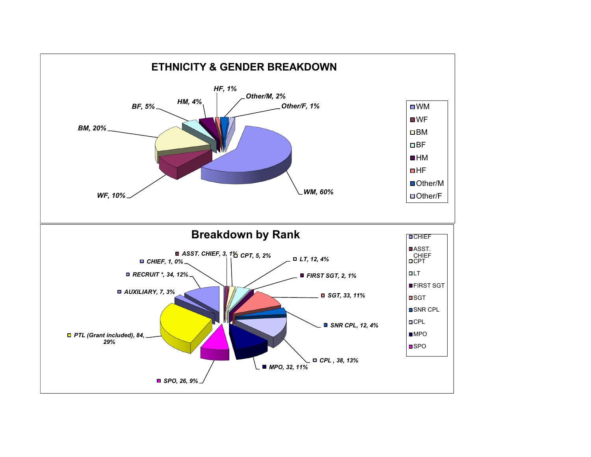